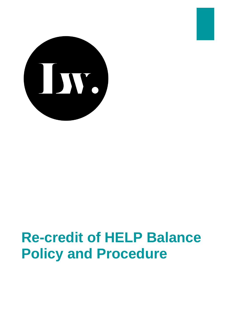

# **Re-credit of HELP Balance Policy and Procedure**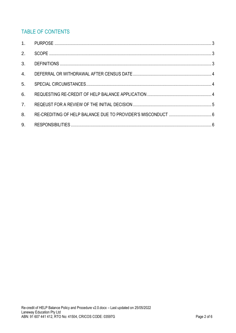# **TABLE OF CONTENTS**

| 2.             |  |
|----------------|--|
| 3 <sub>1</sub> |  |
| 4.             |  |
| 5 <sub>1</sub> |  |
| 6.             |  |
| 7 <sub>1</sub> |  |
| 8.             |  |
| 9.             |  |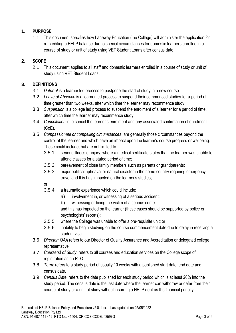### <span id="page-2-0"></span>**1. PURPOSE**

1.1 This document specifies how Laneway Education (the College) will administer the application for re-crediting a HELP balance due to special circumstances for domestic learners enrolled in a course of study or unit of study using VET Student Loans after census date.

### <span id="page-2-1"></span>**2. SCOPE**

2.1 This document applies to all staff and domestic learners enrolled in a course of study or unit of study using VET Student Loans.

#### <span id="page-2-2"></span>**3. DEFINITIONS**

- 3.1 *Deferral* is a learner led process to postpone the start of study in a new course.
- 3.2 *Leave of Absence* is a learner led process to suspend their commenced studies for a period of time greater than two weeks, after which time the learner may recommence study.
- 3.3 *Suspension* is a college led process to suspend the enrolment of a learner for a period of time, after which time the learner may recommence study.
- 3.4 *Cancellation* is to cancel the learner's enrolment and any associated confirmation of enrolment (CoE).
- 3.5 *Compassionate or compelling circumstances*: are generally those circumstances beyond the control of the learner and which have an impact upon the learner's course progress or wellbeing. These could include, but are not limited to:
	- 3.5.1 serious illness or injury, where a medical certificate states that the learner was unable to attend classes for a stated period of time;
	- 3.5.2 bereavement of close family members such as parents or grandparents;
	- 3.5.3 major political upheaval or natural disaster in the home country requiring emergency travel and this has impacted on the learner's studies;

or

- 3.5.4 a traumatic experience which could include:
	- a) involvement in, or witnessing of a serious accident;
	- b) witnessing or being the victim of a serious crime.

and this has impacted on the learner (these cases should be supported by police or psychologists' reports);

- 3.5.5 where the College was unable to offer a pre-requisite unit; or
- 3.5.6 inability to begin studying on the course commencement date due to delay in receiving a student visa.
- 3.6 *Director: QAA* refers to our Director of Quality Assurance and Accreditation or delegated college representative
- 3.7 *Course(s) of Study*: refers to all courses and education services on the College scope of registration as an RTO.
- 3.8 *Term*: refers to a study period of usually 10 weeks with a published start date, end date and census date.
- 3.9 *Census Date*: refers to the date published for each study period which is at least 20% into the study period. The census date is the last date where the learner can withdraw or defer from their course of study or a unit of study without incurring a HELP debt as the financial penalty.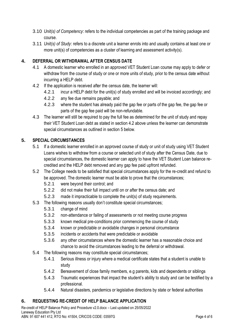- 3.10 *Unit(s) of Competency*: refers to the individual competencies as part of the training package and course.
- 3.11 *Unit(s) of Study*: refers to a discrete unit a learner enrols into and usually contains at least one or more unit(s) of competencies as a cluster of learning and assessment activity(s).

### <span id="page-3-0"></span>**4. DEFERRAL OR WITHDRAWAL AFTER CENSUS DATE**

- 4.1 A domestic learner who enrolled in an approved VET Student Loan course may apply to defer or withdraw from the course of study or one or more units of study, prior to the census date without incurring a HELP debt.
- 4.2 If the application is received after the census date, the learner will:
	- 4.2.1 incur a HELP debt for the unit(s) of study enrolled and will be invoiced accordingly; and
	- 4.2.2 any fee due remains payable; and
	- 4.2.3 where the student has already paid the gap fee or parts of the gap fee, the gap fee or parts of the gap fee paid will be non-refundable.
- 4.3 The learner will still be required to pay the full fee as determined for the unit of study and repay their VET Student Loan debt as stated in section 4.2 above unless the learner can demonstrate special circumstances as outlined in section 5 below.

#### <span id="page-3-1"></span>**5. SPECIAL CIRCUMSTANCES**

- 5.1 If a domestic learner enrolled in an approved course of study or unit of study using VET Student Loans wishes to withdraw from a course or selected unit of study after the Census Date, due to special circumstances, the domestic learner can apply to have the VET Student Loan balance recredited and the HELP debt removed and any gap fee paid upfront refunded.
- 5.2 The College needs to be satisfied that special circumstances apply for the re-credit and refund to be approved. The domestic learner must be able to prove that the circumstances;
	- 5.2.1 were beyond their control; and
	- 5.2.2 did not make their full impact until on or after the census date; and
	- 5.2.3 made it impracticable to complete the unit(s) of study requirements.
- 5.3 The following reasons usually don't constitute special circumstances;
	- 5.3.1 change of mind
	- 5.3.2 non-attendance or failing of assessments or not meeting course progress
	- 5.3.3 known medical pre-conditions prior commencing the course of study
	- 5.3.4 known or predictable or avoidable changes in personal circumstance
	- 5.3.5 incidents or accidents that were predictable or avoidable
	- 5.3.6 any other circumstances where the domestic learner has a reasonable choice and chance to avoid the circumstances leading to the deferral or withdrawal.
- 5.4 The following reasons may constitute special circumstances;
	- 5.4.1 Serious illness or injury where a medical certificate states that a student is unable to study
	- 5.4.2 Bereavement of close family members, e.g parents, kids and dependents or siblings
	- 5.4.3 Traumatic experiences that impact the student's ability to study and can be testified by a professional.
	- 5.4.4 Natural disasters, pandemics or legislative directions by state or federal authorities

#### <span id="page-3-2"></span>**6. REQUESTING RE-CREDIT OF HELP BALANCE APPLICATION**

Re-credit of HELP Balance Policy and Procedure v2.0.docx – Last updated on 25/05/2022 Laneway Education Pty Ltd ABN: 91 607 441 412, RTO No: 41504, CRICOS CODE: 03597G Page 4 of 6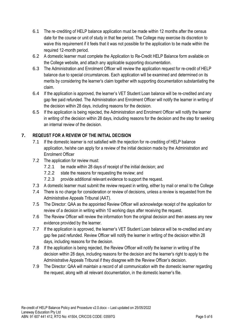- 6.1 The re‑crediting of HELP balance application must be made within 12 months after the census date for the course or unit of study in that fee period. The College may exercise its discretion to waive this requirement if it feels that it was not possible for the application to be made within the required 12-month period.
- 6.2 A domestic learner must complete the Application to Re-Credit HELP Balance form available on the College website, and attach any applicable supporting documentation.
- 6.3 The Administration and Enrolment Officer will review the application request for re-credit of HELP balance due to special circumstances. Each application will be examined and determined on its merits by considering the learner's claim together with supporting documentation substantiating the claim.
- 6.4 If the application is approved, the learner's VET Student Loan balance will be re-credited and any gap fee paid refunded. The Administration and Enrolment Officer will notify the learner in writing of the decision within 28 days, including reasons for the decision.
- 6.5 If the application is being rejected, the Administration and Enrolment Officer will notify the learner in writing of the decision within 28 days, including reasons for the decision and the step for seeking an internal review of the decision.

## <span id="page-4-0"></span>**7. REQEUST FOR A REVIEW OF THE INITIAL DECISION**

- 7.1 If the domestic learner is not satisfied with the rejection for re-crediting of HELP balance application, he/she can apply for a review of the initial decision made by the Administration and Enrolment Officer
- 7.2 The application for review must:
	- 7.2.1 be made within 28 days of receipt of the initial decision; and
	- 7.2.2 state the reasons for requesting the review; and
	- 7.2.3 provide additional relevant evidence to support the request.
- 7.3 A domestic learner must submit the review request in writing, either by mail or email to the College
- 7.4 There is no charge for consideration or review of decisions, unless a review is requested from the Administrative Appeals Tribunal (AAT).
- 7.5 The Director: QAA as the appointed Review Officer will acknowledge receipt of the application for review of a decision in writing within 10 working days after receiving the request.
- 7.6 The Review Officer will review the information from the original decision and then assess any new evidence provided by the learner.
- 7.7 If the application is approved, the learner's VET Student Loan balance will be re-credited and any gap fee paid refunded. Review Officer will notify the learner in writing of the decision within 28 days, including reasons for the decision.
- 7.8 If the application is being rejected, the Review Officer will notify the learner in writing of the decision within 28 days, including reasons for the decision and the learner's right to apply to the Administrative Appeals Tribunal if they disagree with the Review Officer's decision.
- <span id="page-4-1"></span>7.9 The Director: QAA will maintain a record of all communication with the domestic learner regarding the request, along with all relevant documentation, in the domestic learner's file.